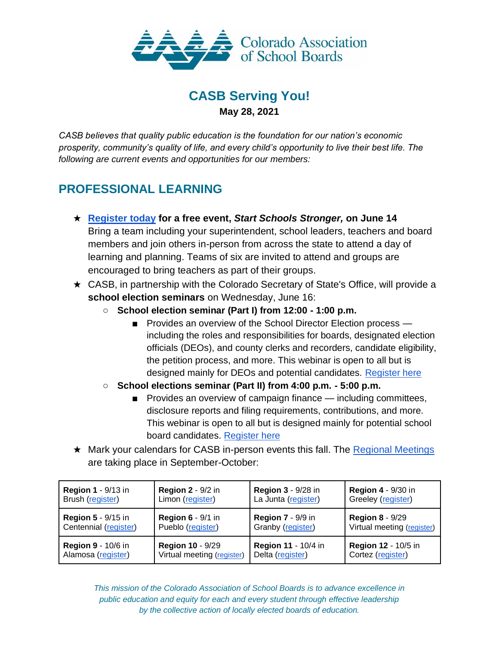

## **CASB Serving You! May 28, 2021**

*CASB believes that quality public education is the foundation for our nation's economic prosperity, community's quality of life, and every child's opportunity to live their best life. The following are current events and opportunities for our members:*

## **PROFESSIONAL LEARNING**

- ★ **[Register today](https://web.cvent.com/event/5582daf2-37b0-4299-8fa6-b2b8077b671c/summary) for a free event,** *Start Schools Stronger,* **on June 14** Bring a team including your superintendent, school leaders, teachers and board members and join others in-person from across the state to attend a day of learning and planning. Teams of six are invited to attend and groups are encouraged to bring teachers as part of their groups.
- ★ CASB, in partnership with the Colorado Secretary of State's Office, will provide a **school election seminars** on Wednesday, June 16:
	- **School election seminar (Part I) from 12:00 - 1:00 p.m.**
		- Provides an overview of the School Director Election process including the roles and responsibilities for boards, designated election officials (DEOs), and county clerks and recorders, candidate eligibility, the petition process, and more. This webinar is open to all but is designed mainly for DEOs and potential candidates. [Register here](https://casb.memberclicks.net/index.php?option=com_mcform&view=ngforms&id=2085911)
	- **School elections seminar (Part II) from 4:00 p.m. - 5:00 p.m.**
		- Provides an overview of campaign finance including committees, disclosure reports and filing requirements, contributions, and more. This webinar is open to all but is designed mainly for potential school board candidates. [Register here](https://casb.memberclicks.net/index.php?option=com_mcform&view=ngforms&id=2087141)
- ★ Mark your calendars for CASB in-person events this fall. The [Regional Meetings](https://casb.memberclicks.net/2021-fall-regional-meetings) are taking place in September-October:

| <b>Region 1 - 9/13 in</b> | <b>Region 2 - 9/2 in</b>   | <b>Region 3 - 9/28 in</b> | <b>Region 4 - 9/30 in</b>  |
|---------------------------|----------------------------|---------------------------|----------------------------|
| Brush (register)          | Limon (register)           | La Junta (register)       | Greeley (register)         |
| <b>Region 5 - 9/15 in</b> | <b>Region 6 - 9/1 in</b>   | <b>Region 7 - 9/9 in</b>  | <b>Region 8 - 9/29</b>     |
| Centennial (register)     | Pueblo (register)          | Granby (register)         | Virtual meeting (register) |
| <b>Region 9 - 10/6 in</b> | <b>Region 10 - 9/29</b>    | Region 11 - 10/4 in       | <b>Region 12 - 10/5 in</b> |
| Alamosa (register)        | Virtual meeting (register) | Delta (register)          | Cortez (register)          |

*This mission of the Colorado Association of School Boards is to advance excellence in public education and equity for each and every student through effective leadership by the collective action of locally elected boards of education.*